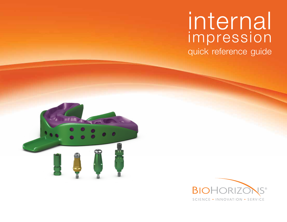# internal impression

quick reference guide



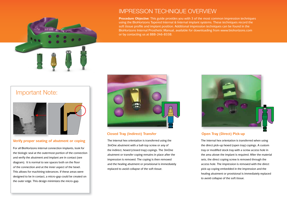

# IMPRESSION TECHNIQUE OVERVIEW

**Procedure Objective**: This guide provides you with 3 of the most common impression techniques using the BioHorizons Tapered Internal & Internal implant systems. These techniques record the soft tissue profile and implant position. Additional impression techniques can be found in the BioHorizons Internal Prosthetic Manual, available for downloading from www.biohorizons.com or by contacting us at 888-246-8338.

# Important Note:



### **Verify proper seating of abutment or coping**

For all BioHorizons internal connection implants, look for the biologic seal at the outermost portion of the connection and verify the abutment and implant are in contact (see diagram). It is normal to see spaces both on the floor of the connection and at the inner aspect of the bevel. This allows for machining tolerances. If these areas were designed to be in contact, a micro-gap could be created on the outer edge. This design minimizes the micro-gap.



### **Closed Tray (Indirect) Transfer Open Tray (Direct) Pick-up**

The internal hex orientation is transferred using the 3inOne abutment with a ball-top screw or any of the indirect, hexed (closed tray) copings. The 3inOne abutment or transfer coping remains in place after the impression is removed. The coping is then removed and the healing abutment or provisional is immediately replaced to avoid collapse of the soft tissue.



The internal hex orientation is transferred when using the direct pick-up hexed (open tray) copings. A custom tray or modified stock tray with a screw access hole in the area above the implant is required. After the material sets, the direct coping screw is removed through the access hole. The impression is removed with the direct pick-up coping embedded in the impression and the healing abutment or provisional is immediately replaced to avoid collapse of the soft tissue.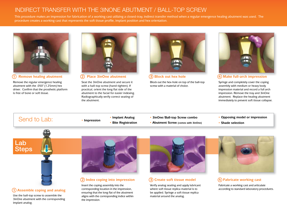# INDIRECT TRANSFER WITH THE 3INONE ABUTMENT / BALL-TOP SCREW

This procedure makes an impression for fabrication of a working cast utilizing a closed-tray, indirect transfer method when a regular emergence healing abutment was used. The procedure creates a working cast that represents the soft tissue profile, implant position and hex orientation.



### **1 Remove healing abutment 2 Place 3inOne abutment**

Remove the regular emergence healing abutment with the .050" (1.25mm) hex driver. Confirm that the prosthetic platform is free of bone or soft tissue.



Seat the 3inOne abutment and secure it with a ball-top screw (hand-tighten). If practical, orient the long flat side of the abutment to the facial for easier indexing. Radiographically verify correct seating of the abutment.



Block out the hex-hole on top of the ball-top screw with a material of choice.



### **3** Block out hex hole **4 4** Make full-arch impression

Syringe and completely cover the coping assembly with medium or heavy body impression material and record a full arch impression. Remove the tray and 3inOne abutment. Replace the healing abutment immediately to prevent soft tissue collapse.

## Send to Lab:

- **Impression • Implant Analog • Bite Registration**
- **3inOne/Ball-top Screw combo**
- **Abutment Screw (comes with 3inOne)**
- **Opposing model or impression**
- **Shade selection**



### **1 Assemble coping and analog**

Use the ball-top screw to assemble the 3inOne abutment with the corresponding implant analog.



### **(2) Index coping into impression**

Insert the coping assembly into the corresponding location in the impression, ensuring that the long flat of the abutment aligns with the corresponding indice within the impression.



### **3** Create soft tissue model **4** Fabricate working cast

Verify analog seating and apply lubricant where soft tissue replica material is to be applied. Syringe a soft tissue replica material around the analog.



Fabricate a working cast and articulate according to standard laboratory procedures.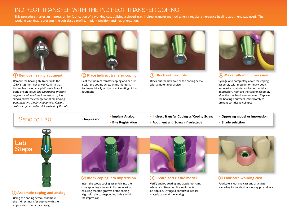# INDIRECT TRANSFER WITH THE INDIRECT TRANSFER COPING

This procedure makes an impression for fabrication of a working cast utilizing a closed-tray, indirect transfer method when a regular emergence healing abutment was used. The working cast that represents the soft tissue profile, implant position and hex orientation.



Remove the healing abutment with the .050" (1.25mm) hex driver. Confirm that the implant prosthetic platform is free of bone or soft tissue. *The emergence (narrow, regular or wide) of the impression coping should match the emergence of the healing abutment and the final abutment. Custom cast emergence will be determined by the lab.*



**1 Remove healing abutment 2 Place indirect transfer coping 3 Block out hex hole 4 Make full-arch impression**

Seat the indirect transfer coping and secure it with the coping screw (hand-tighten). Radiographically verify correct seating of the abutment.



Block out the hex hole of the coping screw with a material of choice.



Syringe and completely cover the coping assembly with medium or heavy body impression material and record a full arch impression. Remove the coping assembly after the tray has been removed. Replace the healing abutment immediately to prevent soft tissue collapse.

# **• Bite Registration**<br>• Bite Registration • Abutment and Screw (if selected) • Shade selection • Shade selection

- **Implant Analog**
	-
- **•** Implant Analog **•** Indirect Transfer Coping w/Coping Screw Opposing model or impression<br>• Bite Registration Abutment and Screw (if selected) Shade selection
	- **Abutment and Screw (if selected)**
- 
- 



### **1 Assemble coping and analog**

Using the coping screw, assemble the indirect transfer coping with the appropriate diameter analog.



### **2 Index coping into impression 3 Create soft tissue model 4 Fabricate working cast**

Insert the scoop coping assembly into the corresponding location in the impression, ensuring that the grooves of the coping align with the corresponding indice within the impression.



Verify analog seating and apply lubricant where soft tissue replica material is to be applied. Syringe a soft tissue replica material around the analog.



Fabricate a working cast and articulate according to standard laboratory procedures.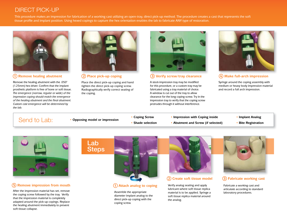# DIRECT PICK-UP

This procedure makes an impression for fabrication of a working cast utilizing an open-tray, direct pick-up method. The procedure creates a cast that represents the soft tissue profile and implant position. Using hexed copings to capture the hex orientation enables the lab to fabricate ANY type of restoration.



### **1 Remove healing abutment 2 Place pick-up coping 3 Verify screw/tray clearance 4 Make full-arch impression**

Remove the healing abutment with the .050" (1.25mm) hex driver. Confirm that the implant prosthetic platform is free of bone or soft tissue. *The emergence (narrow, regular or wide) of the impression coping should match the emergence of the healing abutment and the final abutment. Custom cast emergence will be determined by the lab.*



Place the direct pick-up coping and hand tighten the direct pick-up coping screw. Radiographically verify correct seating of the coping.



A stock impression tray may be modified for this procedure, or a custom tray may be fabricated using a tray material of choice. A window is cut out of the tray to allow clearance for the long coping screw. Try in the impression tray to verify that the coping screw protrudes through it without interference.



Syringe around the coping assembly with medium or heavy body impression material and record a full arch impression.

**• Coping Screw • Impression with Coping inside**<br>• Shade selection **• Abutment and Screw** (if selection **• Shade selection • Abutment and Screw** (if selection

Lab

- 
- 
- **Abutment and Screw (if selected)**
- **Implant Analog**
- **Bite Registration**



### **5 Remove impression from mouth 1 Attach analog to coping**

After the impression material has set, remove the coping screw followed by the tray. Verify that the impression material is completely adapted around the pick-up copings. Replace the healing abutment immediately to prevent soft tissue collapse.



Assemble the appropriate diameter implant analog to the direct pick-up coping with the coping screw.



### **2 Create soft tissue model 3 Fabricate working cast**

Verify analog seating and apply lubricant where soft tissue replica material is to be applied. Syringe a soft tissue replica material around the analog.



Fabricate a working cast and articulate according to standard laboratory procedures.